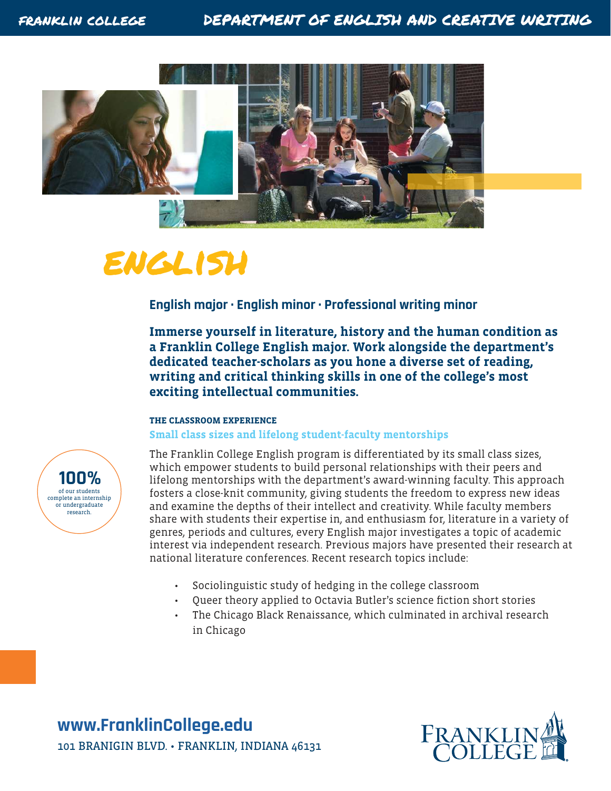

# english

## **English major · English minor · Professional writing minor**

**Immerse yourself in literature, history and the human condition as a Franklin College English major. Work alongside the department's dedicated teacher-scholars as you hone a diverse set of reading, writing and critical thinking skills in one of the college's most exciting intellectual communities.**

#### **THE CLASSROOM EXPERIENCE**

**Small class sizes and lifelong student-faculty mentorships**



The Franklin College English program is differentiated by its small class sizes, which empower students to build personal relationships with their peers and lifelong mentorships with the department's award-winning faculty. This approach fosters a close-knit community, giving students the freedom to express new ideas and examine the depths of their intellect and creativity. While faculty members share with students their expertise in, and enthusiasm for, literature in a variety of genres, periods and cultures, every English major investigates a topic of academic interest via independent research. Previous majors have presented their research at national literature conferences. Recent research topics include:

- Sociolinguistic study of hedging in the college classroom
- Queer theory applied to Octavia Butler's science fiction short stories
- The Chicago Black Renaissance, which culminated in archival research in Chicago

**www.FranklinCollege.edu** 101 BRANIGIN BLVD. • FRANKLIN, INDIANA 46131